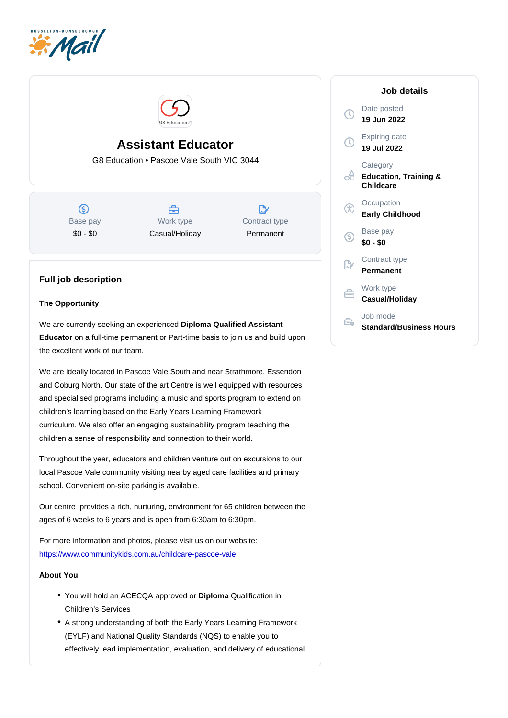# Assistant Educator

G8 Education • Pascoe Vale South VIC 3044

Base pay \$0 - \$0

Work type Casual/Holiday Contract type Permanent

## Full job description

### The Opportunity

We are currently seeking an experienced Diploma Qualified Assistant Educator on a full-time permanent or Part-time basis to join us and build upon the excellent work of our team.

We are ideally located in Pascoe Vale South and near Strathmore, Essendon and Coburg North. Our state of the art Centre is well equipped with resources and specialised programs including a music and sports program to extend on children's learning based on the Early Years Learning Framework curriculum. We also offer an engaging sustainability program teaching the children a sense of responsibility and connection to their world.

Throughout the year, educators and children venture out on excursions to our local Pascoe Vale community visiting nearby aged care facilities and primary school. Convenient on-site parking is available.

Our centre provides a rich, nurturing, environment for 65 children between the ages of 6 weeks to 6 years and is open from 6:30am to 6:30pm.

For more information and photos, please visit us on our website: <https://www.communitykids.com.au/childcare-pascoe-vale>

About You

- You will hold an ACECQA approved or Diploma Qualification in Children's Services
- A strong understanding of both the Early Years Learning Framework (EYLF) and National Quality Standards (NQS) to enable you to effectively lead implementation, evaluation, and delivery of educational

### Job details

Date posted 19 Jun 2022

Expiring date 19 Jul 2022

**Category** Education, Training & **Childcare** 

**Occupation** Early Childhood

Base pay \$0 - \$0

Contract type Permanent

Work type Casual/Holiday

Job mode Standard/Business Hours